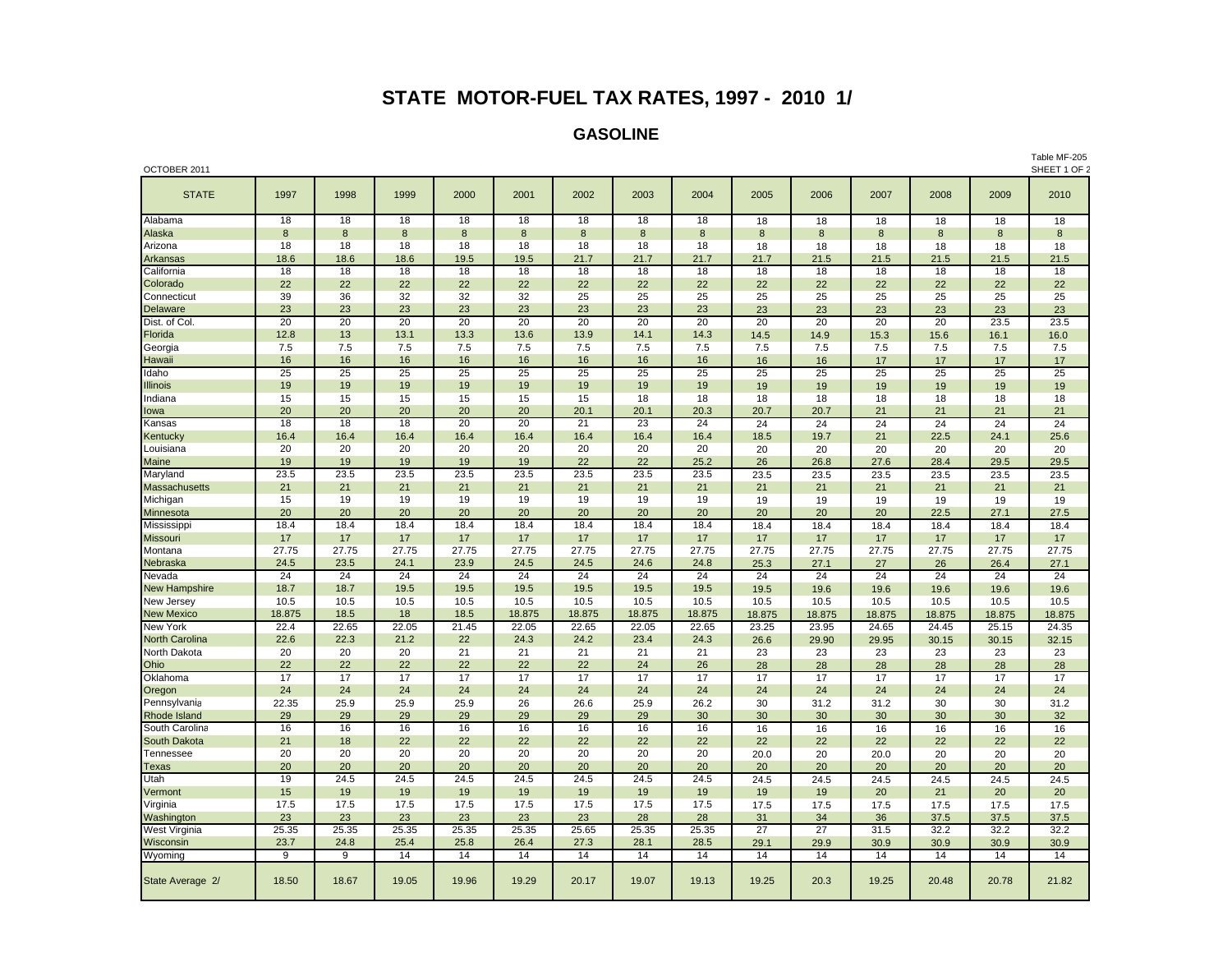## **STATE MOTOR-FUEL TAX RATES, 1997 - 2010 1/**

## **GASOLINE**

| OCTOBER 2011          |             |             |             |                 |             |             |             |             |                 |             |             | SHEET 1 OF 2 |             |                 |
|-----------------------|-------------|-------------|-------------|-----------------|-------------|-------------|-------------|-------------|-----------------|-------------|-------------|--------------|-------------|-----------------|
| <b>STATE</b>          | 1997        | 1998        | 1999        | 2000            | 2001        | 2002        | 2003        | 2004        | 2005            | 2006        | 2007        | 2008         | 2009        | 2010            |
| Alabama               | 18          | 18          | 18          | 18              | 18          | 18          | 18          | 18          | 18              | 18          | 18          | 18           | 18          | 18              |
| Alaska                | 8           | 8           | 8           | 8               | 8           | 8           | 8           | 8           | 8               | 8           | 8           | 8            | 8           | 8               |
| Arizona               | 18          | 18          | 18          | 18              | 18          | 18          | 18          | 18          | 18              | 18          | 18          | 18           | 18          | 18              |
| Arkansas              | 18.6        | 18.6        | 18.6        | 19.5            | 19.5        | 21.7        | 21.7        | 21.7        | 21.7            | 21.5        | 21.5        | 21.5         | 21.5        | 21.5            |
| California            | 18          | 18          | 18          | 18              | 18          | 18          | 18          | 18          | 18              | 18          | 18          | 18           | 18          | 18              |
| Colorado              | 22          | 22          | 22          | 22              | 22          | 22          | 22          | 22          | 22              | 22          | 22          | 22           | 22          | 22              |
| Connecticut           | 39          | 36          | 32          | 32              | 32          | 25          | 25          | 25          | 25              | 25          | 25          | 25           | 25          | 25              |
| Delaware              | 23          | 23          | 23          | 23              | 23          | 23          | 23          | 23          | 23              | 23          | 23          | 23           | 23          | 23              |
| Dist. of Col.         | 20          | 20          | 20          | $\overline{20}$ | 20          | 20          | 20          | 20          | 20              | 20          | 20          | 20           | 23.5        | 23.5            |
| Florida               | 12.8        | 13          | 13.1        | 13.3            | 13.6        | 13.9        | 14.1        | 14.3        | 14.5            | 14.9        | 15.3        | 15.6         | 16.1        | 16.0            |
| Georgia               | 7.5         | 7.5         | 7.5         | 7.5             | 7.5         | 7.5         | 7.5         | 7.5         | 7.5             | 7.5         | 7.5         | 7.5          | 7.5         | 7.5             |
| Hawaii                | 16          | 16          | 16          | 16              | 16          | 16          | 16          | 16          | 16              | 16          | 17          | 17           | 17          | 17              |
| Idaho                 | 25          | 25          | 25          | 25              | 25          | 25          | 25          | 25          | 25              | 25          | 25          | 25           | 25          | 25              |
| Illinois              | 19          | 19          | 19          | 19              | 19          | 19          | 19          | 19          | 19              | 19          | 19          | 19           | 19          | 19              |
| Indiana               | 15          | 15          | 15          | 15              | 15          | 15          | 18          | 18          | 18              | 18          | 18          | 18           | 18          | 18              |
| lowa                  | 20          | 20          | 20          | 20              | 20          | 20.1        | 20.1        | 20.3        | 20.7            | 20.7        | 21          | 21           | 21          | 21              |
| Kansas                | 18          | 18          | 18          | 20              | 20          | 21          | 23          | 24          | 24              | 24          | 24          | 24           | 24          | $\overline{24}$ |
| Kentucky              | 16.4        | 16.4        | 16.4        | 16.4            | 16.4        | 16.4        | 16.4        | 16.4        | 18.5            | 19.7        | 21          | 22.5         | 24.1        | 25.6            |
| Louisiana             | 20          | 20          | 20          | 20              | 20          | 20          | 20          | 20          | 20              | 20          | 20          | 20           | 20          | 20              |
| Maine                 | 19          | 19          | 19          | 19              | 19          | 22          | 22          | 25.2        | 26              | 26.8        | 27.6        | 28.4         | 29.5        | 29.5            |
| Maryland              | 23.5        | 23.5        | 23.5        | 23.5            | 23.5        | 23.5        | 23.5        | 23.5        | 23.5            | 23.5        | 23.5        | 23.5         | 23.5        | 23.5            |
| <b>Massachusetts</b>  | 21          | 21          | 21          | 21              | 21          | 21          | 21          | 21          | 21              | 21          | 21          | 21           | 21          | 21              |
| Michigan              | 15          | 19          | 19          | 19              | 19          | 19          | 19          | 19          | 19              | 19          | 19          | 19           | 19          | 19              |
| Minnesota             | 20<br>18.4  | 20<br>18.4  | 20          | 20<br>18.4      | 20<br>18.4  | 20<br>18.4  | 20          | 20<br>18.4  | 20              | 20          | 20          | 22.5         | 27.1        | 27.5            |
| Mississippi           |             |             | 18.4        |                 |             |             | 18.4        |             | 18.4            | 18.4        | 18.4        | 18.4         | 18.4        | 18.4            |
| Missouri<br>Montana   | 17<br>27.75 | 17<br>27.75 | 17<br>27.75 | 17<br>27.75     | 17<br>27.75 | 17<br>27.75 | 17<br>27.75 | 17<br>27.75 | 17<br>27.75     | 17<br>27.75 | 17<br>27.75 | 17<br>27.75  | 17<br>27.75 | 17<br>27.75     |
| Nebraska              | 24.5        | 23.5        | 24.1        | 23.9            | 24.5        | 24.5        | 24.6        | 24.8        | 25.3            | 27.1        | 27          | 26           | 26.4        | 27.1            |
| Nevada                | 24          | 24          | 24          | 24              | 24          | 24          | 24          | 24          | 24              | 24          | 24          | 24           | 24          | 24              |
| <b>New Hampshire</b>  | 18.7        | 18.7        | 19.5        | 19.5            | 19.5        | 19.5        | 19.5        | 19.5        | 19.5            | 19.6        | 19.6        | 19.6         | 19.6        | 19.6            |
| New Jersey            | 10.5        | 10.5        | 10.5        | 10.5            | 10.5        | 10.5        | 10.5        | 10.5        | 10.5            | 10.5        | 10.5        | 10.5         | 10.5        | 10.5            |
| <b>New Mexico</b>     | 18.875      | 18.5        | 18          | 18.5            | 18.875      | 18.875      | 18.875      | 18.875      | 18.875          | 18.875      | 18.875      | 18.875       | 18.875      | 18.875          |
| New York              | 22.4        | 22.65       | 22.05       | 21.45           | 22.05       | 22.65       | 22.05       | 22.65       | 23.25           | 23.95       | 24.65       | 24.45        | 25.15       | 24.35           |
| <b>North Carolina</b> | 22.6        | 22.3        | 21.2        | 22              | 24.3        | 24.2        | 23.4        | 24.3        | 26.6            | 29.90       | 29.95       | 30.15        | 30.15       | 32.15           |
| North Dakota          | 20          | 20          | 20          | 21              | 21          | 21          | 21          | 21          | 23              | 23          | 23          | 23           | 23          | 23              |
| Ohio                  | 22          | 22          | 22          | 22              | 22          | 22          | 24          | 26          | 28              | 28          | 28          | 28           | 28          | 28              |
| Oklahoma              | 17          | 17          | 17          | 17              | 17          | 17          | 17          | 17          | 17              | 17          | 17          | 17           | 17          | 17              |
| Oregon                | 24          | 24          | 24          | 24              | 24          | 24          | 24          | 24          | 24              | 24          | 24          | 24           | 24          | 24              |
| Pennsylvania          | 22.35       | 25.9        | 25.9        | 25.9            | 26          | 26.6        | 25.9        | 26.2        | 30              | 31.2        | 31.2        | 30           | 30          | 31.2            |
| Rhode Island          | 29          | 29          | 29          | 29              | 29          | 29          | 29          | 30          | 30              | 30          | 30          | 30           | 30          | 32              |
| South Carolina        | 16          | 16          | 16          | 16              | 16          | 16          | 16          | 16          | 16              | 16          | 16          | 16           | 16          | 16              |
| South Dakota          | 21          | 18          | 22          | 22              | 22          | 22          | 22          | 22          | 22              | 22          | 22          | 22           | 22          | 22              |
| Tennessee             | 20          | 20          | 20          | 20              | 20          | 20          | 20          | 20          | 20.0            | 20          | 20.0        | 20           | 20          | 20              |
| <b>Texas</b>          | 20          | 20          | 20          | 20              | 20          | 20          | 20          | 20          | 20              | 20          | 20          | 20           | 20          | 20              |
| Utah                  | 19          | 24.5        | 24.5        | 24.5            | 24.5        | 24.5        | 24.5        | 24.5        | 24.5            | 24.5        | 24.5        | 24.5         | 24.5        | 24.5            |
| Vermont               | 15          | 19          | 19          | 19              | 19          | 19          | 19          | 19          | 19              | 19          | 20          | 21           | 20          | 20              |
| Virginia              | 17.5        | 17.5        | 17.5        | 17.5            | 17.5        | 17.5        | 17.5        | 17.5        | 17.5            | 17.5        | 17.5        | 17.5         | 17.5        | 17.5            |
| Washington            | 23          | 23          | 23          | 23              | 23          | 23          | 28          | 28          | 31              | 34          | 36          | 37.5         | 37.5        | 37.5            |
| West Virginia         | 25.35       | 25.35       | 25.35       | 25.35           | 25.35       | 25.65       | 25.35       | 25.35       | $\overline{27}$ | 27          | 31.5        | 32.2         | 32.2        | 32.2            |
| Wisconsin             | 23.7        | 24.8        | 25.4        | 25.8            | 26.4        | 27.3        | 28.1        | 28.5        | 29.1            | 29.9        | 30.9        | 30.9         | 30.9        | 30.9            |
| Wyoming               | 9           | 9           | 14          | 14              | 14          | 14          | 14          | 14          | 14              | 14          | 14          | 14           | 14          | 14              |
| State Average 2/      | 18.50       | 18.67       | 19.05       | 19.96           | 19.29       | 20.17       | 19.07       | 19.13       | 19.25           | 20.3        | 19.25       | 20.48        | 20.78       | 21.82           |

Table MF-205